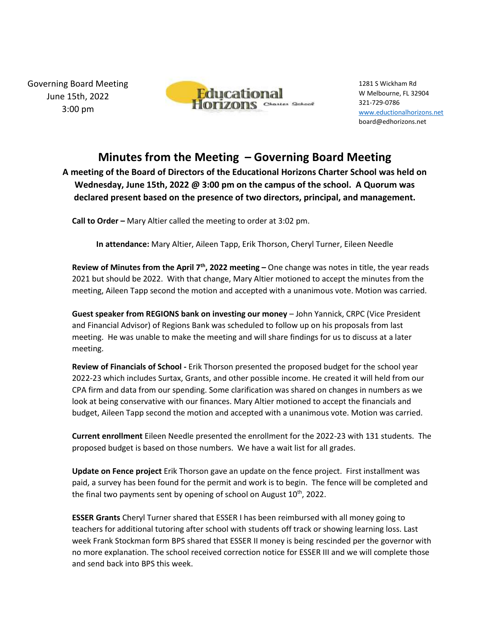Governing Board Meeting June 15th, 2022 3:00 pm



1281 S Wickham Rd W Melbourne, FL 32904 321-729-0786 [www.eductionalhorizons.net](http://www.eductionalhorizons.net/) board@edhorizons.net

## **Minutes from the Meeting – Governing Board Meeting**

**A meeting of the Board of Directors of the Educational Horizons Charter School was held on Wednesday, June 15th, 2022 @ 3:00 pm on the campus of the school. A Quorum was declared present based on the presence of two directors, principal, and management.** 

**Call to Order –** Mary Altier called the meeting to order at 3:02 pm.

**In attendance:** Mary Altier, Aileen Tapp, Erik Thorson, Cheryl Turner, Eileen Needle

**Review of Minutes from the April 7<sup>th</sup>, 2022 meeting – One change was notes in title, the year reads** 2021 but should be 2022. With that change, Mary Altier motioned to accept the minutes from the meeting, Aileen Tapp second the motion and accepted with a unanimous vote. Motion was carried.

**Guest speaker from REGIONS bank on investing our money** – John Yannick, CRPC (Vice President and Financial Advisor) of Regions Bank was scheduled to follow up on his proposals from last meeting. He was unable to make the meeting and will share findings for us to discuss at a later meeting.

**Review of Financials of School -** Erik Thorson presented the proposed budget for the school year 2022-23 which includes Surtax, Grants, and other possible income. He created it will held from our CPA firm and data from our spending. Some clarification was shared on changes in numbers as we look at being conservative with our finances. Mary Altier motioned to accept the financials and budget, Aileen Tapp second the motion and accepted with a unanimous vote. Motion was carried.

**Current enrollment** Eileen Needle presented the enrollment for the 2022-23 with 131 students. The proposed budget is based on those numbers. We have a wait list for all grades.

**Update on Fence project** Erik Thorson gave an update on the fence project. First installment was paid, a survey has been found for the permit and work is to begin. The fence will be completed and the final two payments sent by opening of school on August  $10<sup>th</sup>$ , 2022.

**ESSER Grants** Cheryl Turner shared that ESSER I has been reimbursed with all money going to teachers for additional tutoring after school with students off track or showing learning loss. Last week Frank Stockman form BPS shared that ESSER II money is being rescinded per the governor with no more explanation. The school received correction notice for ESSER III and we will complete those and send back into BPS this week.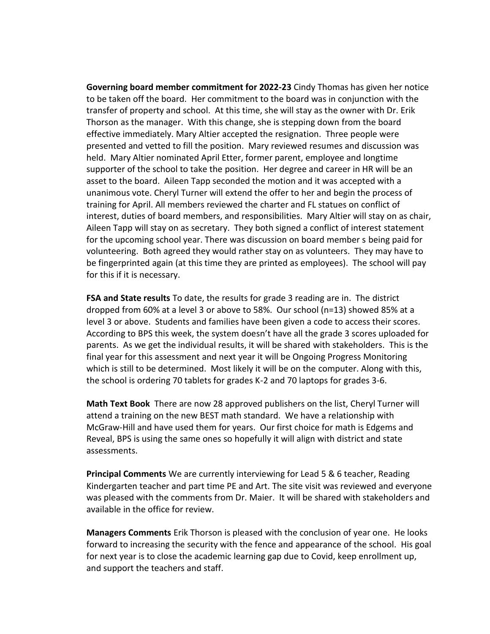**Governing board member commitment for 2022-23** Cindy Thomas has given her notice to be taken off the board. Her commitment to the board was in conjunction with the transfer of property and school. At this time, she will stay as the owner with Dr. Erik Thorson as the manager. With this change, she is stepping down from the board effective immediately. Mary Altier accepted the resignation. Three people were presented and vetted to fill the position. Mary reviewed resumes and discussion was held. Mary Altier nominated April Etter, former parent, employee and longtime supporter of the school to take the position. Her degree and career in HR will be an asset to the board. Aileen Tapp seconded the motion and it was accepted with a unanimous vote. Cheryl Turner will extend the offer to her and begin the process of training for April. All members reviewed the charter and FL statues on conflict of interest, duties of board members, and responsibilities. Mary Altier will stay on as chair, Aileen Tapp will stay on as secretary. They both signed a conflict of interest statement for the upcoming school year. There was discussion on board member s being paid for volunteering. Both agreed they would rather stay on as volunteers. They may have to be fingerprinted again (at this time they are printed as employees). The school will pay for this if it is necessary.

**FSA and State results** To date, the results for grade 3 reading are in. The district dropped from 60% at a level 3 or above to 58%. Our school (n=13) showed 85% at a level 3 or above. Students and families have been given a code to access their scores. According to BPS this week, the system doesn't have all the grade 3 scores uploaded for parents. As we get the individual results, it will be shared with stakeholders. This is the final year for this assessment and next year it will be Ongoing Progress Monitoring which is still to be determined. Most likely it will be on the computer. Along with this, the school is ordering 70 tablets for grades K-2 and 70 laptops for grades 3-6.

**Math Text Book** There are now 28 approved publishers on the list, Cheryl Turner will attend a training on the new BEST math standard. We have a relationship with McGraw-Hill and have used them for years. Our first choice for math is Edgems and Reveal, BPS is using the same ones so hopefully it will align with district and state assessments.

**Principal Comments** We are currently interviewing for Lead 5 & 6 teacher, Reading Kindergarten teacher and part time PE and Art. The site visit was reviewed and everyone was pleased with the comments from Dr. Maier. It will be shared with stakeholders and available in the office for review.

**Managers Comments** Erik Thorson is pleased with the conclusion of year one. He looks forward to increasing the security with the fence and appearance of the school. His goal for next year is to close the academic learning gap due to Covid, keep enrollment up, and support the teachers and staff.